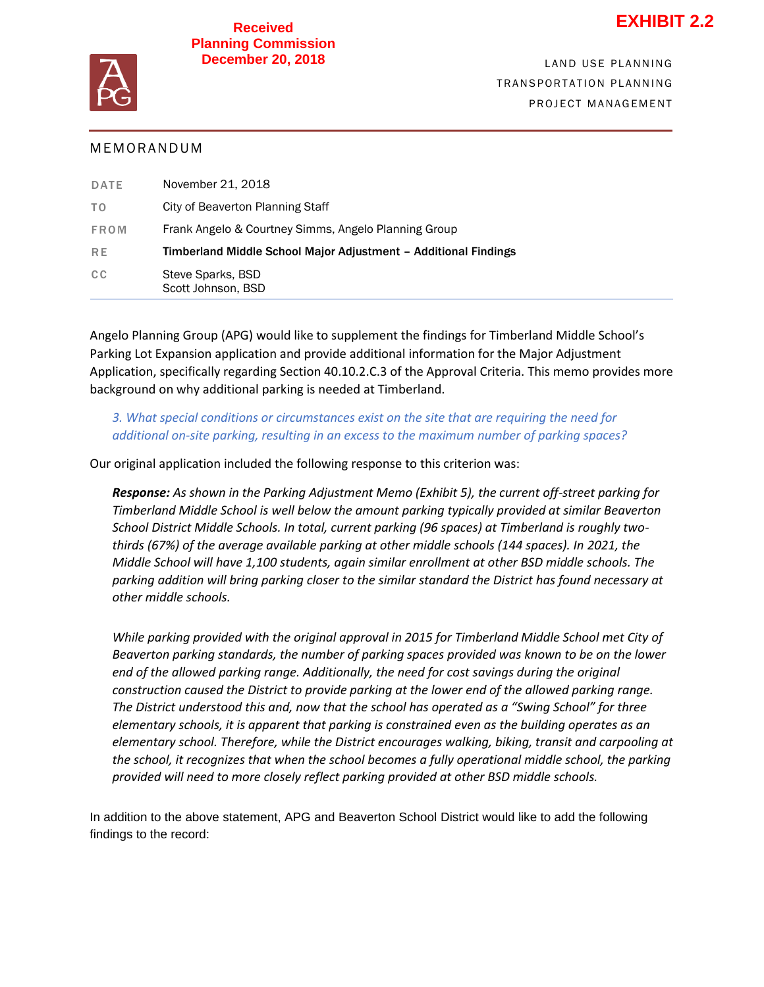## **Received Planning Commission December 20, 2018**



# **MEMORANDUM**

| <b>DATE</b>    | November 21, 2018                                               |
|----------------|-----------------------------------------------------------------|
| T <sub>0</sub> | City of Beaverton Planning Staff                                |
| FROM           | Frank Angelo & Courtney Simms, Angelo Planning Group            |
| <b>RE</b>      | Timberland Middle School Major Adjustment - Additional Findings |
| CC             | Steve Sparks, BSD<br>Scott Johnson, BSD                         |

Angelo Planning Group (APG) would like to supplement the findings for Timberland Middle School's Parking Lot Expansion application and provide additional information for the Major Adjustment Application, specifically regarding Section 40.10.2.C.3 of the Approval Criteria. This memo provides more background on why additional parking is needed at Timberland.

3. What special conditions or circumstances exist on the site that are requiring the need for additional on-site parking, resulting in an excess to the maximum number of parking spaces?

Our original application included the following response to this criterion was:

Response: As shown in the Parking Adjustment Memo (Exhibit 5), the current off-street parking for Timberland Middle School is well below the amount parking typically provided at similar Beaverton thirds (67%) of the average available parking at other middle schools (144 spaces). In 2021, the T R A N S P O R T A T I O N P L A N NI N G *Middle School will have 1,100 students, again similar enrollment at other BSD middle schools. The*  P R O J E C T M A N A N A G E M A N A G E M A N A N A G E M A N A N A G E M A N A N A N A G E M A N A G E M A *School District Middle Schools. In total, current parking (96 spaces) at Timberland is roughly twoparking addition will bring parking closer to the similar standard the District has found necessary at other middle schools.*

While parking provided with the original approval in 2015 for Timberland Middle School met City of Beaverton parking standards, the number of parking spaces provided was known to be on the lower end of the allowed parking range. Additionally, the need for cost savings during the original *construction caused the District to provide parking at the lower end of the allowed parking range. The District understood this and, now that the school has operated as a "Swing School" for three elementary schools, it is apparent that parking is constrained even as the building operates as an elementary school. Therefore, while the District encourages walking, biking, transit and carpooling at the school, it recognizes that when the school becomes a fully operational middle school, the parking provided will need to more closely reflect parking provided at other BSD middle schools.* 

In addition to the above statement, APG and Beaverton School District would like to add the following findings to the record: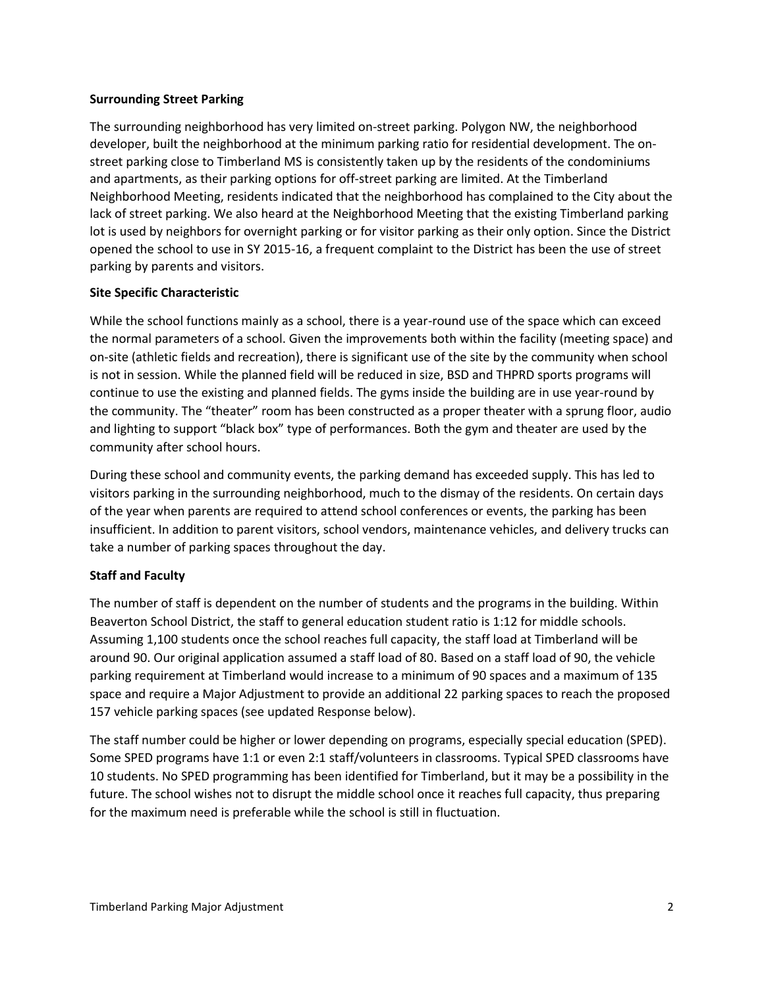## **Surrounding Street Parking**

The surrounding neighborhood has very limited on-street parking. Polygon NW, the neighborhood developer, built the neighborhood at the minimum parking ratio for residential development. The onstreet parking close to Timberland MS is consistently taken up by the residents of the condominiums and apartments, as their parking options for off-street parking are limited. At the Timberland Neighborhood Meeting, residents indicated that the neighborhood has complained to the City about the lack of street parking. We also heard at the Neighborhood Meeting that the existing Timberland parking lot is used by neighbors for overnight parking or for visitor parking as their only option. Since the District opened the school to use in SY 2015-16, a frequent complaint to the District has been the use of street parking by parents and visitors.

#### **Site Specific Characteristic**

While the school functions mainly as a school, there is a year-round use of the space which can exceed the normal parameters of a school. Given the improvements both within the facility (meeting space) and on-site (athletic fields and recreation), there is significant use of the site by the community when school is not in session. While the planned field will be reduced in size, BSD and THPRD sports programs will continue to use the existing and planned fields. The gyms inside the building are in use year-round by the community. The "theater" room has been constructed as a proper theater with a sprung floor, audio and lighting to support "black box" type of performances. Both the gym and theater are used by the community after school hours.

During these school and community events, the parking demand has exceeded supply. This has led to visitors parking in the surrounding neighborhood, much to the dismay of the residents. On certain days of the year when parents are required to attend school conferences or events, the parking has been insufficient. In addition to parent visitors, school vendors, maintenance vehicles, and delivery trucks can take a number of parking spaces throughout the day.

## **Staff and Faculty**

The number of staff is dependent on the number of students and the programs in the building. Within Beaverton School District, the staff to general education student ratio is 1:12 for middle schools. Assuming 1,100 students once the school reaches full capacity, the staff load at Timberland will be around 90. Our original application assumed a staff load of 80. Based on a staff load of 90, the vehicle parking requirement at Timberland would increase to a minimum of 90 spaces and a maximum of 135 space and require a Major Adjustment to provide an additional 22 parking spaces to reach the proposed 157 vehicle parking spaces (see updated Response below).

The staff number could be higher or lower depending on programs, especially special education (SPED). Some SPED programs have 1:1 or even 2:1 staff/volunteers in classrooms. Typical SPED classrooms have 10 students. No SPED programming has been identified for Timberland, but it may be a possibility in the future. The school wishes not to disrupt the middle school once it reaches full capacity, thus preparing for the maximum need is preferable while the school is still in fluctuation.